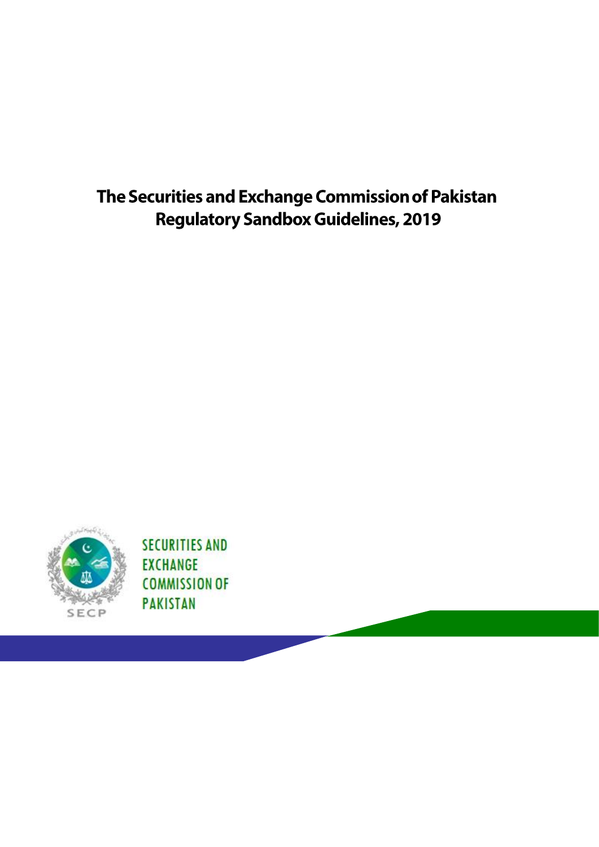# The Securities and Exchange Commission of Pakistan **Regulatory Sandbox Guidelines, 2019**



**SECURITIES AND EXCHANGE COMMISSION OF PAKISTAN**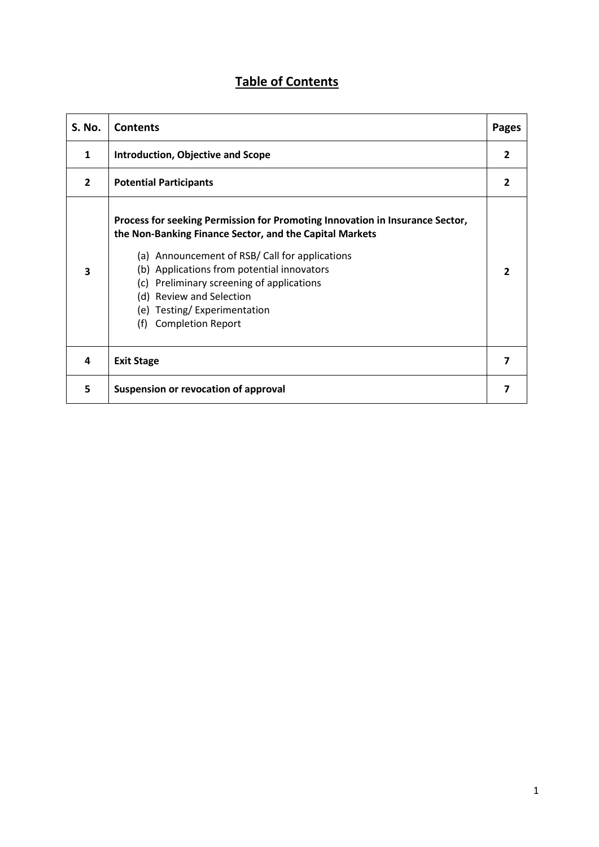## **Table of Contents**

| S. No.                  | <b>Contents</b>                                                                                                                                                                                                                                                                                                                                                                    | <b>Pages</b>   |
|-------------------------|------------------------------------------------------------------------------------------------------------------------------------------------------------------------------------------------------------------------------------------------------------------------------------------------------------------------------------------------------------------------------------|----------------|
| $\mathbf{1}$            | <b>Introduction, Objective and Scope</b>                                                                                                                                                                                                                                                                                                                                           | $\overline{2}$ |
| $\overline{2}$          | <b>Potential Participants</b>                                                                                                                                                                                                                                                                                                                                                      | 2              |
| $\overline{\mathbf{3}}$ | Process for seeking Permission for Promoting Innovation in Insurance Sector,<br>the Non-Banking Finance Sector, and the Capital Markets<br>(a) Announcement of RSB/ Call for applications<br>(b) Applications from potential innovators<br>(c) Preliminary screening of applications<br>(d) Review and Selection<br>(e) Testing/Experimentation<br><b>Completion Report</b><br>(f) |                |
| 4                       | <b>Exit Stage</b>                                                                                                                                                                                                                                                                                                                                                                  | 7              |
| 5                       | Suspension or revocation of approval                                                                                                                                                                                                                                                                                                                                               |                |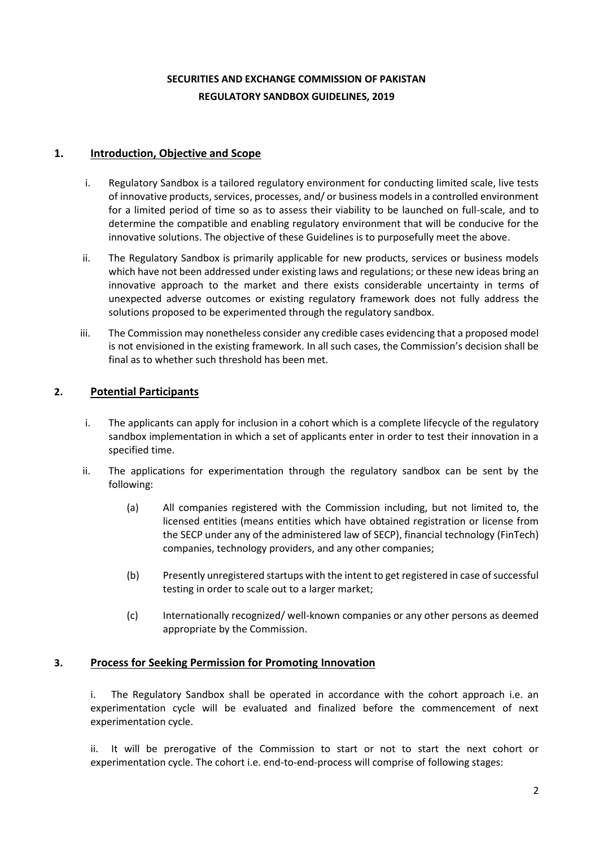## **SECURITIES AND EXCHANGE COMMISSION OF PAKISTAN REGULATORY SANDBOX GUIDELINES, 2019**

#### **1. Introduction, Objective and Scope**

- i. Regulatory Sandbox is a tailored regulatory environment for conducting limited scale, live tests of innovative products, services, processes, and/ or business models in a controlled environment for a limited period of time so as to assess their viability to be launched on full-scale, and to determine the compatible and enabling regulatory environment that will be conducive for the innovative solutions. The objective of these Guidelines is to purposefully meet the above.
- ii. The Regulatory Sandbox is primarily applicable for new products, services or business models which have not been addressed under existing laws and regulations; or these new ideas bring an innovative approach to the market and there exists considerable uncertainty in terms of unexpected adverse outcomes or existing regulatory framework does not fully address the solutions proposed to be experimented through the regulatory sandbox.
- iii. The Commission may nonetheless consider any credible cases evidencing that a proposed model is not envisioned in the existing framework. In all such cases, the Commission's decision shall be final as to whether such threshold has been met.

### **2. Potential Participants**

- i. The applicants can apply for inclusion in a cohort which is a complete lifecycle of the regulatory sandbox implementation in which a set of applicants enter in order to test their innovation in a specified time.
- ii. The applications for experimentation through the regulatory sandbox can be sent by the following:
	- (a) All companies registered with the Commission including, but not limited to, the licensed entities (means entities which have obtained registration or license from the SECP under any of the administered law of SECP), financial technology (FinTech) companies, technology providers, and any other companies;
	- (b) Presently unregistered startups with the intent to get registered in case of successful testing in order to scale out to a larger market;
	- (c) Internationally recognized/ well-known companies or any other persons as deemed appropriate by the Commission.

#### **3. Process for Seeking Permission for Promoting Innovation**

i. The Regulatory Sandbox shall be operated in accordance with the cohort approach i.e. an experimentation cycle will be evaluated and finalized before the commencement of next experimentation cycle.

ii. It will be prerogative of the Commission to start or not to start the next cohort or experimentation cycle. The cohort i.e. end-to-end-process will comprise of following stages: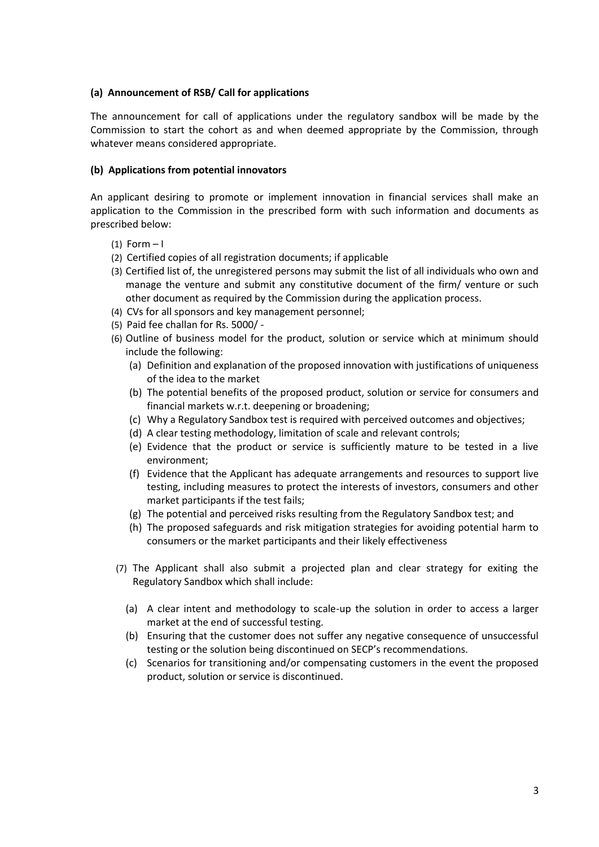#### **(a) Announcement of RSB/ Call for applications**

The announcement for call of applications under the regulatory sandbox will be made by the Commission to start the cohort as and when deemed appropriate by the Commission, through whatever means considered appropriate.

#### **(b) Applications from potential innovators**

An applicant desiring to promote or implement innovation in financial services shall make an application to the Commission in the prescribed form with such information and documents as prescribed below:

- $(1)$  Form  $-1$
- (2) Certified copies of all registration documents; if applicable
- (3) Certified list of, the unregistered persons may submit the list of all individuals who own and manage the venture and submit any constitutive document of the firm/ venture or such other document as required by the Commission during the application process.
- (4) CVs for all sponsors and key management personnel;
- (5) Paid fee challan for Rs. 5000/ -
- (6) Outline of business model for the product, solution or service which at minimum should include the following:
	- (a) Definition and explanation of the proposed innovation with justifications of uniqueness of the idea to the market
	- (b) The potential benefits of the proposed product, solution or service for consumers and financial markets w.r.t. deepening or broadening;
	- (c) Why a Regulatory Sandbox test is required with perceived outcomes and objectives;
	- (d) A clear testing methodology, limitation of scale and relevant controls;
	- (e) Evidence that the product or service is sufficiently mature to be tested in a live environment;
	- (f) Evidence that the Applicant has adequate arrangements and resources to support live testing, including measures to protect the interests of investors, consumers and other market participants if the test fails;
	- (g) The potential and perceived risks resulting from the Regulatory Sandbox test; and
	- (h) The proposed safeguards and risk mitigation strategies for avoiding potential harm to consumers or the market participants and their likely effectiveness
- (7) The Applicant shall also submit a projected plan and clear strategy for exiting the Regulatory Sandbox which shall include:
	- (a) A clear intent and methodology to scale-up the solution in order to access a larger market at the end of successful testing.
	- (b) Ensuring that the customer does not suffer any negative consequence of unsuccessful testing or the solution being discontinued on SECP's recommendations.
	- (c) Scenarios for transitioning and/or compensating customers in the event the proposed product, solution or service is discontinued.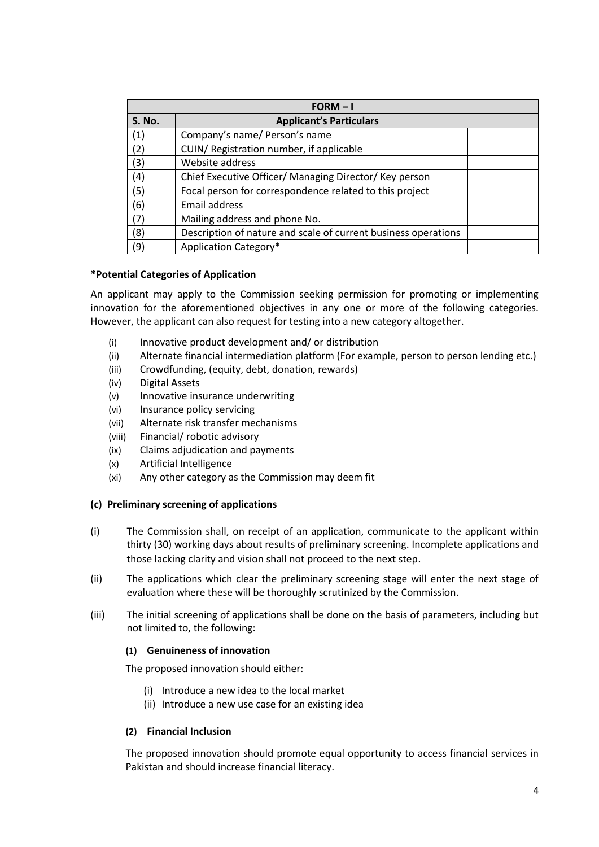| $FORM - I$    |                                                                |  |  |
|---------------|----------------------------------------------------------------|--|--|
| <b>S. No.</b> | <b>Applicant's Particulars</b>                                 |  |  |
| (1)           | Company's name/ Person's name                                  |  |  |
| (2)           | CUIN/ Registration number, if applicable                       |  |  |
| (3)           | Website address                                                |  |  |
| (4)           | Chief Executive Officer/ Managing Director/ Key person         |  |  |
| (5)           | Focal person for correspondence related to this project        |  |  |
| (6)           | Email address                                                  |  |  |
| (7)           | Mailing address and phone No.                                  |  |  |
| (8)           | Description of nature and scale of current business operations |  |  |
| (9)           | Application Category*                                          |  |  |

#### **\*Potential Categories of Application**

An applicant may apply to the Commission seeking permission for promoting or implementing innovation for the aforementioned objectives in any one or more of the following categories. However, the applicant can also request for testing into a new category altogether.

- (i) Innovative product development and/ or distribution
- (ii) Alternate financial intermediation platform (For example, person to person lending etc.)
- (iii) Crowdfunding, (equity, debt, donation, rewards)
- (iv) Digital Assets
- (v) Innovative insurance underwriting
- (vi) Insurance policy servicing
- (vii) Alternate risk transfer mechanisms
- (viii) Financial/ robotic advisory
- (ix) Claims adjudication and payments
- (x) Artificial Intelligence
- (xi) Any other category as the Commission may deem fit

#### **(c) Preliminary screening of applications**

- (i) The Commission shall, on receipt of an application, communicate to the applicant within thirty (30) working days about results of preliminary screening. Incomplete applications and those lacking clarity and vision shall not proceed to the next step.
- (ii) The applications which clear the preliminary screening stage will enter the next stage of evaluation where these will be thoroughly scrutinized by the Commission.
- (iii) The initial screening of applications shall be done on the basis of parameters, including but not limited to, the following:

#### **(1) Genuineness of innovation**

The proposed innovation should either:

- (i) Introduce a new idea to the local market
- (ii) Introduce a new use case for an existing idea

#### **(2) Financial Inclusion**

The proposed innovation should promote equal opportunity to access financial services in Pakistan and should increase financial literacy.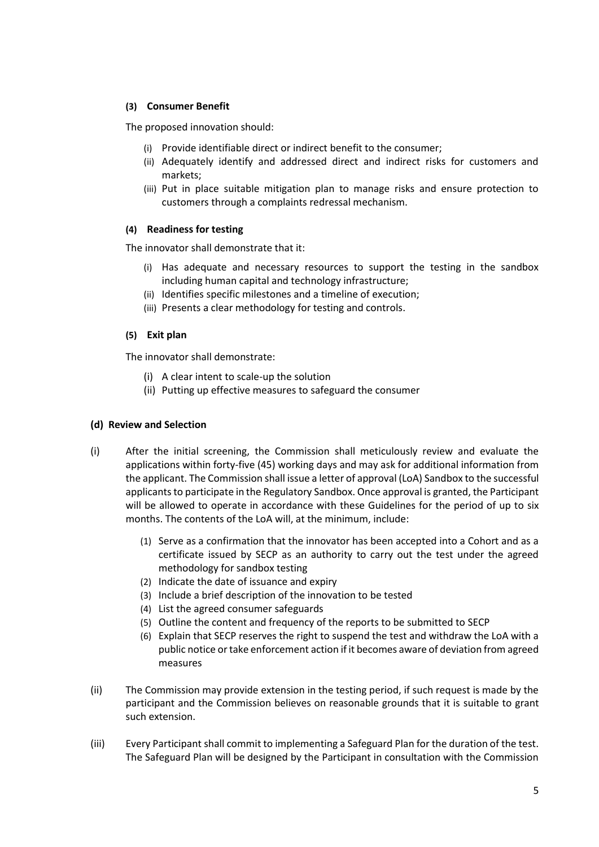#### **(3) Consumer Benefit**

The proposed innovation should:

- (i) Provide identifiable direct or indirect benefit to the consumer;
- (ii) Adequately identify and addressed direct and indirect risks for customers and markets;
- (iii) Put in place suitable mitigation plan to manage risks and ensure protection to customers through a complaints redressal mechanism.

#### **(4) Readiness for testing**

The innovator shall demonstrate that it:

- (i) Has adequate and necessary resources to support the testing in the sandbox including human capital and technology infrastructure;
- (ii) Identifies specific milestones and a timeline of execution;
- (iii) Presents a clear methodology for testing and controls.

#### **(5) Exit plan**

The innovator shall demonstrate:

- (i) A clear intent to scale-up the solution
- (ii) Putting up effective measures to safeguard the consumer

#### **(d) Review and Selection**

- (i) After the initial screening, the Commission shall meticulously review and evaluate the applications within forty-five (45) working days and may ask for additional information from the applicant. The Commission shall issue a letter of approval (LoA) Sandbox to the successful applicants to participate in the Regulatory Sandbox. Once approval is granted, the Participant will be allowed to operate in accordance with these Guidelines for the period of up to six months. The contents of the LoA will, at the minimum, include:
	- (1) Serve as a confirmation that the innovator has been accepted into a Cohort and as a certificate issued by SECP as an authority to carry out the test under the agreed methodology for sandbox testing
	- (2) Indicate the date of issuance and expiry
	- (3) Include a brief description of the innovation to be tested
	- (4) List the agreed consumer safeguards
	- (5) Outline the content and frequency of the reports to be submitted to SECP
	- (6) Explain that SECP reserves the right to suspend the test and withdraw the LoA with a public notice or take enforcement action if it becomes aware of deviation from agreed measures
- (ii) The Commission may provide extension in the testing period, if such request is made by the participant and the Commission believes on reasonable grounds that it is suitable to grant such extension.
- (iii) Every Participant shall commit to implementing a Safeguard Plan for the duration of the test. The Safeguard Plan will be designed by the Participant in consultation with the Commission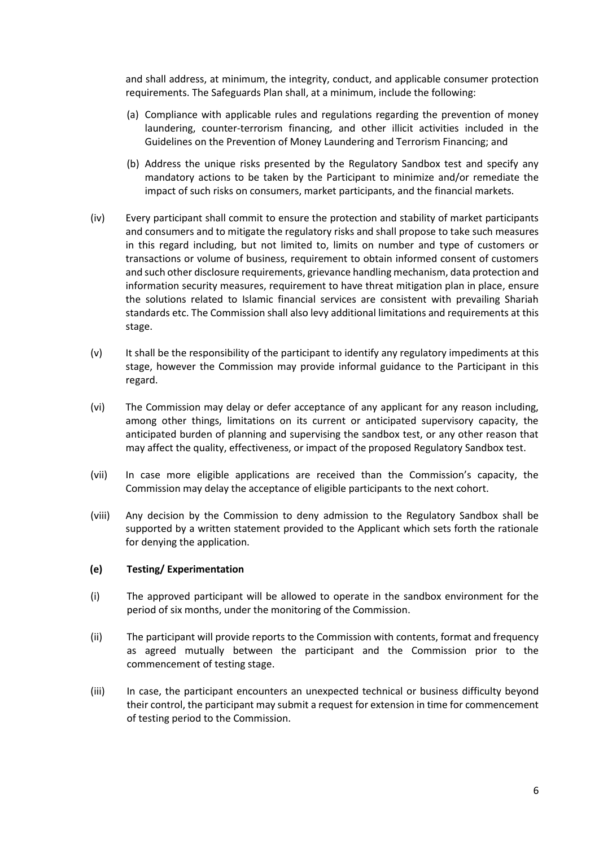and shall address, at minimum, the integrity, conduct, and applicable consumer protection requirements. The Safeguards Plan shall, at a minimum, include the following:

- (a) Compliance with applicable rules and regulations regarding the prevention of money laundering, counter-terrorism financing, and other illicit activities included in the Guidelines on the Prevention of Money Laundering and Terrorism Financing; and
- (b) Address the unique risks presented by the Regulatory Sandbox test and specify any mandatory actions to be taken by the Participant to minimize and/or remediate the impact of such risks on consumers, market participants, and the financial markets.
- (iv) Every participant shall commit to ensure the protection and stability of market participants and consumers and to mitigate the regulatory risks and shall propose to take such measures in this regard including, but not limited to, limits on number and type of customers or transactions or volume of business, requirement to obtain informed consent of customers and such other disclosure requirements, grievance handling mechanism, data protection and information security measures, requirement to have threat mitigation plan in place, ensure the solutions related to Islamic financial services are consistent with prevailing Shariah standards etc. The Commission shall also levy additional limitations and requirements at this stage.
- (v) It shall be the responsibility of the participant to identify any regulatory impediments at this stage, however the Commission may provide informal guidance to the Participant in this regard.
- (vi) The Commission may delay or defer acceptance of any applicant for any reason including, among other things, limitations on its current or anticipated supervisory capacity, the anticipated burden of planning and supervising the sandbox test, or any other reason that may affect the quality, effectiveness, or impact of the proposed Regulatory Sandbox test.
- (vii) In case more eligible applications are received than the Commission's capacity, the Commission may delay the acceptance of eligible participants to the next cohort.
- (viii) Any decision by the Commission to deny admission to the Regulatory Sandbox shall be supported by a written statement provided to the Applicant which sets forth the rationale for denying the application.

#### **(e) Testing/ Experimentation**

- (i) The approved participant will be allowed to operate in the sandbox environment for the period of six months, under the monitoring of the Commission.
- (ii) The participant will provide reports to the Commission with contents, format and frequency as agreed mutually between the participant and the Commission prior to the commencement of testing stage.
- (iii) In case, the participant encounters an unexpected technical or business difficulty beyond their control, the participant may submit a request for extension in time for commencement of testing period to the Commission.